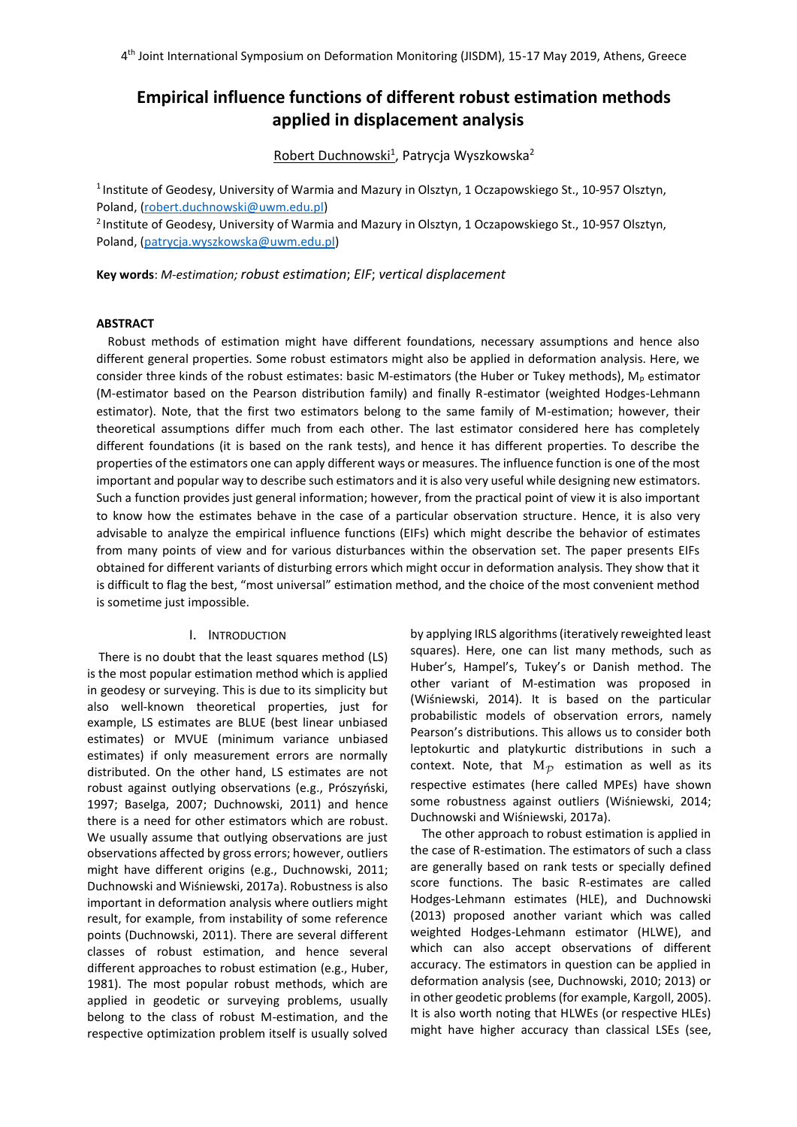# **Empirical influence functions of different robust estimation methods applied in displacement analysis**

Robert Duchnowski<sup>1</sup>, Patrycja Wyszkowska<sup>2</sup>

<sup>1</sup> Institute of Geodesy, University of Warmia and Mazury in Olsztyn, 1 Oczapowskiego St., 10-957 Olsztyn, Poland, [\(robert.duchnowski@u](mailto:robert.duchnowski@)wm.edu.pl)

<sup>2</sup> Institute of Geodesy, University of Warmia and Mazury in Olsztyn, 1 Oczapowskiego St., 10-957 Olsztyn, Poland, [\(patrycja.wyszkowska@u](mailto:patrycja.wyszkowska@)wm.edu.pl)

**Key words**: *M-estimation; robust estimation*; *EIF*; *vertical displacement*

## **ABSTRACT**

Robust methods of estimation might have different foundations, necessary assumptions and hence also different general properties. Some robust estimators might also be applied in deformation analysis. Here, we consider three kinds of the robust estimates: basic M-estimators (the Huber or Tukey methods),  $M_p$  estimator (M-estimator based on the Pearson distribution family) and finally R-estimator (weighted Hodges-Lehmann estimator). Note, that the first two estimators belong to the same family of M-estimation; however, their theoretical assumptions differ much from each other. The last estimator considered here has completely different foundations (it is based on the rank tests), and hence it has different properties. To describe the properties of the estimators one can apply different ways or measures. The influence function is one of the most important and popular way to describe such estimators and it is also very useful while designing new estimators. Such a function provides just general information; however, from the practical point of view it is also important to know how the estimates behave in the case of a particular observation structure. Hence, it is also very advisable to analyze the empirical influence functions (EIFs) which might describe the behavior of estimates from many points of view and for various disturbances within the observation set. The paper presents EIFs obtained for different variants of disturbing errors which might occur in deformation analysis. They show that it is difficult to flag the best, "most universal" estimation method, and the choice of the most convenient method is sometime just impossible.

## I. INTRODUCTION

There is no doubt that the least squares method (LS) is the most popular estimation method which is applied in geodesy or surveying. This is due to its simplicity but also well-known theoretical properties, just for example, LS estimates are BLUE (best linear unbiased estimates) or MVUE (minimum variance unbiased estimates) if only measurement errors are normally distributed. On the other hand, LS estimates are not robust against outlying observations (e.g., Prószyński, 1997; Baselga, 2007; Duchnowski, 2011) and hence there is a need for other estimators which are robust. We usually assume that outlying observations are just observations affected by gross errors; however, outliers might have different origins (e.g., Duchnowski, 2011; Duchnowski and Wiśniewski, 2017a). Robustness is also important in deformation analysis where outliers might result, for example, from instability of some reference points (Duchnowski, 2011). There are several different classes of robust estimation, and hence several different approaches to robust estimation (e.g., Huber, 1981). The most popular robust methods, which are applied in geodetic or surveying problems, usually belong to the class of robust M-estimation, and the respective optimization problem itself is usually solved

by applying IRLS algorithms (iteratively reweighted least squares). Here, one can list many methods, such as Huber's, Hampel's, Tukey's or Danish method. The other variant of M-estimation was proposed in (Wiśniewski, 2014). It is based on the particular probabilistic models of observation errors, namely Pearson's distributions. This allows us to consider both leptokurtic and platykurtic distributions in such a context. Note, that  $M_{\mathcal{P}}$  estimation as well as its respective estimates (here called MPEs) have shown some robustness against outliers (Wiśniewski, 2014; Duchnowski and Wiśniewski, 2017a).

The other approach to robust estimation is applied in the case of R-estimation. The estimators of such a class are generally based on rank tests or specially defined score functions. The basic R-estimates are called Hodges-Lehmann estimates (HLE), and Duchnowski (2013) proposed another variant which was called weighted Hodges-Lehmann estimator (HLWE), and which can also accept observations of different accuracy. The estimators in question can be applied in deformation analysis (see, Duchnowski, 2010; 2013) or in other geodetic problems (for example, Kargoll, 2005). It is also worth noting that HLWEs (or respective HLEs) might have higher accuracy than classical LSEs (see,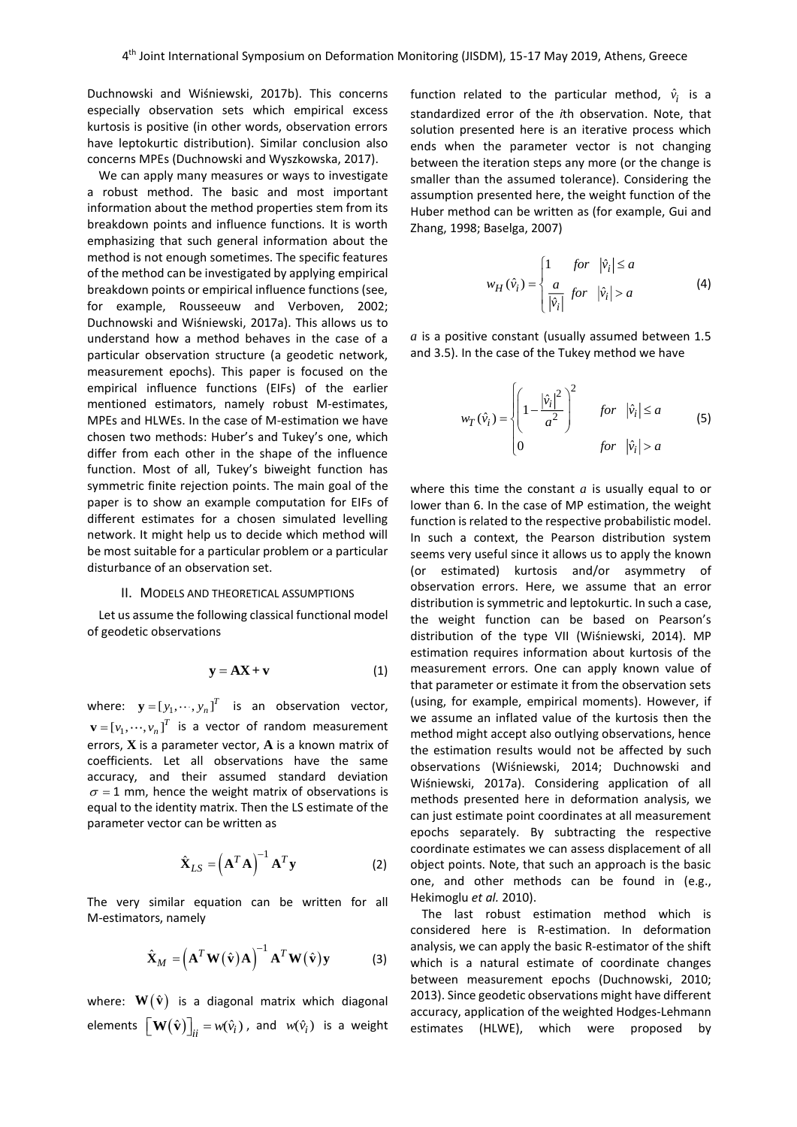Duchnowski and Wiśniewski, 2017b). This concerns especially observation sets which empirical excess kurtosis is positive (in other words, observation errors have leptokurtic distribution). Similar conclusion also concerns MPEs (Duchnowski and Wyszkowska, 2017).

We can apply many measures or ways to investigate a robust method. The basic and most important information about the method properties stem from its breakdown points and influence functions. It is worth emphasizing that such general information about the method is not enough sometimes. The specific features of the method can be investigated by applying empirical breakdown points or empirical influence functions (see, for example, Rousseeuw and Verboven, 2002; Duchnowski and Wiśniewski, 2017a). This allows us to understand how a method behaves in the case of a particular observation structure (a geodetic network, measurement epochs). This paper is focused on the empirical influence functions (EIFs) of the earlier mentioned estimators, namely robust M-estimates, MPEs and HLWEs. In the case of M-estimation we have chosen two methods: Huber's and Tukey's one, which differ from each other in the shape of the influence function. Most of all, Tukey's biweight function has symmetric finite rejection points. The main goal of the paper is to show an example computation for EIFs of different estimates for a chosen simulated levelling network. It might help us to decide which method will be most suitable for a particular problem or a particular disturbance of an observation set.

#### II. MODELS AND THEORETICAL ASSUMPTIONS

Let us assume the following classical functional model of geodetic observations

$$
y = AX + v \tag{1}
$$

where:  $\mathbf{y} = [y_1, \dots, y_n]^T$  is an observation vector,  $\mathbf{v} = [v_1, \dots, v_n]^T$  is a vector of random measurement errors, **X** is a parameter vector, **A** is a known matrix of coefficients. Let all observations have the same accuracy, and their assumed standard deviation  $\sigma$  = 1 mm, hence the weight matrix of observations is equal to the identity matrix. Then the LS estimate of the parameter vector can be written as

$$
\hat{\mathbf{X}}_{LS} = \left(\mathbf{A}^T \mathbf{A}\right)^{-1} \mathbf{A}^T \mathbf{y}
$$
 (2)

The very similar equation can be written for all M-estimators, namely

$$
\hat{\mathbf{X}}_{M} = \left(\mathbf{A}^{T} \mathbf{W}(\hat{\mathbf{v}}) \mathbf{A}\right)^{-1} \mathbf{A}^{T} \mathbf{W}(\hat{\mathbf{v}}) \mathbf{y}
$$
 (3)

where:  $\mathbf{W}\!\left(\hat{\mathbf{v}}\right)$  is a diagonal matrix which diagonal elements  $\left[\mathbf{W}\left(\hat{\mathbf{v}}\right)\right]_{ii} = w(\hat{v}_i)$  , and  $w(\hat{v}_i)$  is a weight

function related to the particular method,  $\hat{v}_i$  is a standardized error of the *i*th observation. Note, that solution presented here is an iterative process which ends when the parameter vector is not changing between the iteration steps any more (or the change is smaller than the assumed tolerance). Considering the assumption presented here, the weight function of the Huber method can be written as (for example, Gui and Zhang, 1998; Baselga, 2007)

$$
w_H(\hat{v}_i) = \begin{cases} 1 & \text{for } |\hat{v}_i| \le a \\ \frac{a}{|\hat{v}_i|} & \text{for } |\hat{v}_i| > a \end{cases}
$$
 (4)

*a* is a positive constant (usually assumed between 1.5 and 3.5). In the case of the Tukey method we have

$$
w_T(\hat{v}_i) = \begin{cases} \left(1 - \frac{|\hat{v}_i|^2}{a^2}\right)^2 & \text{for} \quad |\hat{v}_i| \le a\\ 0 & \text{for} \quad |\hat{v}_i| > a \end{cases}
$$
(5)

where this time the constant *a* is usually equal to or lower than 6. In the case of MP estimation, the weight function is related to the respective probabilistic model. In such a context, the Pearson distribution system seems very useful since it allows us to apply the known (or estimated) kurtosis and/or asymmetry of observation errors. Here, we assume that an error distribution is symmetric and leptokurtic. In such a case, the weight function can be based on Pearson's distribution of the type VII (Wiśniewski, 2014). MP estimation requires information about kurtosis of the measurement errors. One can apply known value of that parameter or estimate it from the observation sets (using, for example, empirical moments). However, if we assume an inflated value of the kurtosis then the method might accept also outlying observations, hence the estimation results would not be affected by such observations (Wiśniewski, 2014; Duchnowski and Wiśniewski, 2017a). Considering application of all methods presented here in deformation analysis, we can just estimate point coordinates at all measurement epochs separately. By subtracting the respective coordinate estimates we can assess displacement of all object points. Note, that such an approach is the basic one, and other methods can be found in (e.g., Hekimoglu *et al.* 2010).

The last robust estimation method which is considered here is R-estimation. In deformation analysis, we can apply the basic R-estimator of the shift which is a natural estimate of coordinate changes between measurement epochs (Duchnowski, 2010; 2013). Since geodetic observations might have different accuracy, application of the weighted Hodges-Lehmann estimates (HLWE), which were proposed by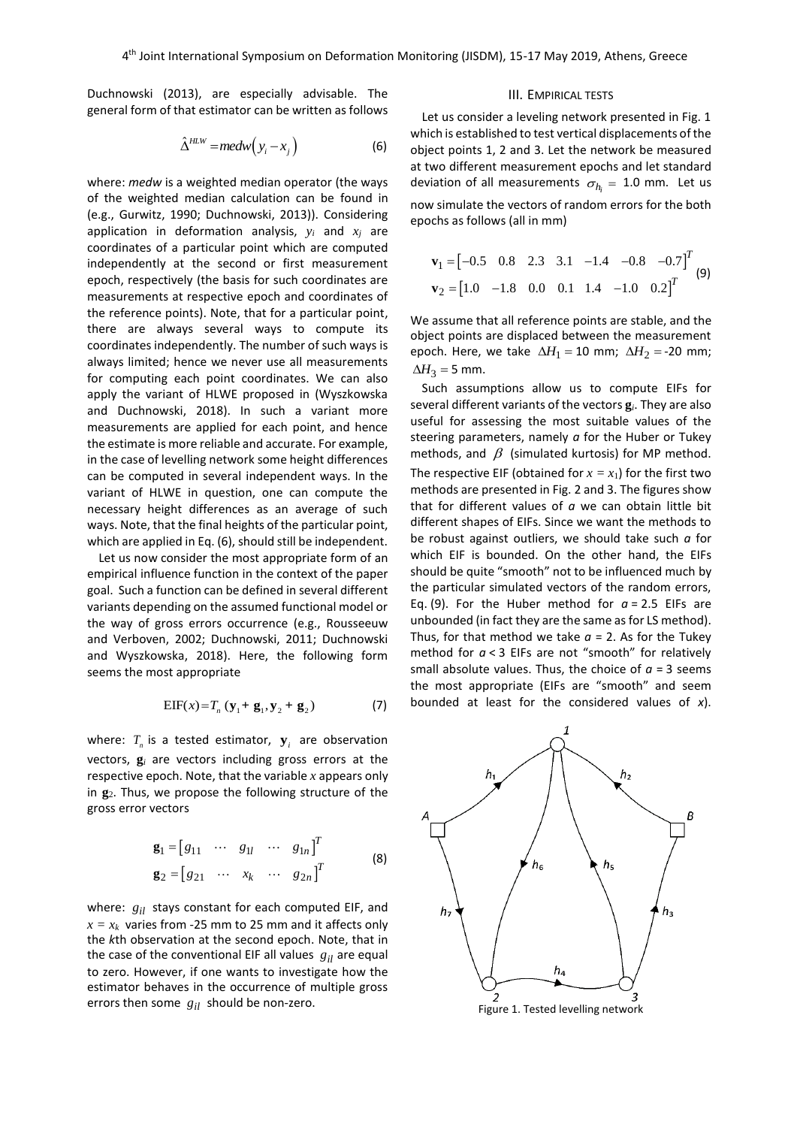Duchnowski (2013), are especially advisable. The general form of that estimator can be written as follows

$$
\hat{\Delta}^{HLW} = medw(y_i - x_j)
$$
 (6)

where: *medw* is a weighted median operator (the ways of the weighted median calculation can be found in (e.g., Gurwitz, 1990; Duchnowski, 2013)). Considering application in deformation analysis,  $y_i$  and  $x_i$  are coordinates of a particular point which are computed independently at the second or first measurement epoch, respectively (the basis for such coordinates are measurements at respective epoch and coordinates of the reference points). Note, that for a particular point, there are always several ways to compute its coordinates independently. The number of such ways is always limited; hence we never use all measurements for computing each point coordinates. We can also apply the variant of HLWE proposed in (Wyszkowska and Duchnowski, 2018). In such a variant more measurements are applied for each point, and hence the estimate is more reliable and accurate. For example, in the case of levelling network some height differences can be computed in several independent ways. In the variant of HLWE in question, one can compute the necessary height differences as an average of such ways. Note, that the final heights of the particular point, which are applied in Eq. (6), should still be independent.

Let us now consider the most appropriate form of an empirical influence function in the context of the paper goal. Such a function can be defined in several different variants depending on the assumed functional model or the way of gross errors occurrence (e.g., Rousseeuw and Verboven, 2002; Duchnowski, 2011; Duchnowski and Wyszkowska, 2018). Here, the following form seems the most appropriate

$$
EIF(x) = T_n (y_1 + g_1, y_2 + g_2)
$$
 (7)

where:  $T_n$  is a tested estimator,  $\mathbf{y}_i$  are observation vectors, **g***<sup>i</sup>* are vectors including gross errors at the respective epoch. Note, that the variable *x* appears only in **g**2. Thus, we propose the following structure of the gross error vectors

$$
\mathbf{g}_1 = \begin{bmatrix} g_{11} & \cdots & g_{1l} & \cdots & g_{1n} \end{bmatrix}^T
$$
  
\n
$$
\mathbf{g}_2 = \begin{bmatrix} g_{21} & \cdots & x_k & \cdots & g_{2n} \end{bmatrix}^T
$$
 (8)

where:  $g_{il}$  stays constant for each computed EIF, and  $x = x_k$  varies from -25 mm to 25 mm and it affects only the *k*th observation at the second epoch. Note, that in the case of the conventional EIF all values  $g_{il}$  are equal to zero. However, if one wants to investigate how the estimator behaves in the occurrence of multiple gross errors then some  $g_{il}$  should be non-zero.

## III. EMPIRICAL TESTS

Let us consider a leveling network presented in Fig. 1 which is established to test vertical displacements of the object points 1, 2 and 3. Let the network be measured at two different measurement epochs and let standard deviation of all measurements  $\sigma_{h_i}$  = 1.0 mm. Let us now simulate the vectors of random errors for the both epochs as follows (all in mm)

$$
\mathbf{v}_1 = \begin{bmatrix} -0.5 & 0.8 & 2.3 & 3.1 & -1.4 & -0.8 & -0.7 \end{bmatrix}^T
$$
  
\n
$$
\mathbf{v}_2 = \begin{bmatrix} 1.0 & -1.8 & 0.0 & 0.1 & 1.4 & -1.0 & 0.2 \end{bmatrix}^T
$$
 (9)

We assume that all reference points are stable, and the object points are displaced between the measurement epoch. Here, we take  $\Delta H_1 = 10$  mm;  $\Delta H_2 =$ -20 mm;  $\Delta H_3$  = 5 mm.

Such assumptions allow us to compute EIFs for several different variants of the vectors **g***i*. They are also useful for assessing the most suitable values of the steering parameters, namely *a* for the Huber or Tukey methods, and  $\beta$  (simulated kurtosis) for MP method. The respective EIF (obtained for  $x = x_1$ ) for the first two methods are presented in Fig. 2 and 3. The figures show that for different values of *a* we can obtain little bit different shapes of EIFs. Since we want the methods to be robust against outliers, we should take such *a* for which EIF is bounded. On the other hand, the EIFs should be quite "smooth" not to be influenced much by the particular simulated vectors of the random errors, Eq. (9). For the Huber method for  $a = 2.5$  EIFs are unbounded (in fact they are the same as for LS method). Thus, for that method we take  $a = 2$ . As for the Tukey method for *a* < 3 EIFs are not "smooth" for relatively small absolute values. Thus, the choice of  $a = 3$  seems the most appropriate (EIFs are "smooth" and seem bounded at least for the considered values of *x*).

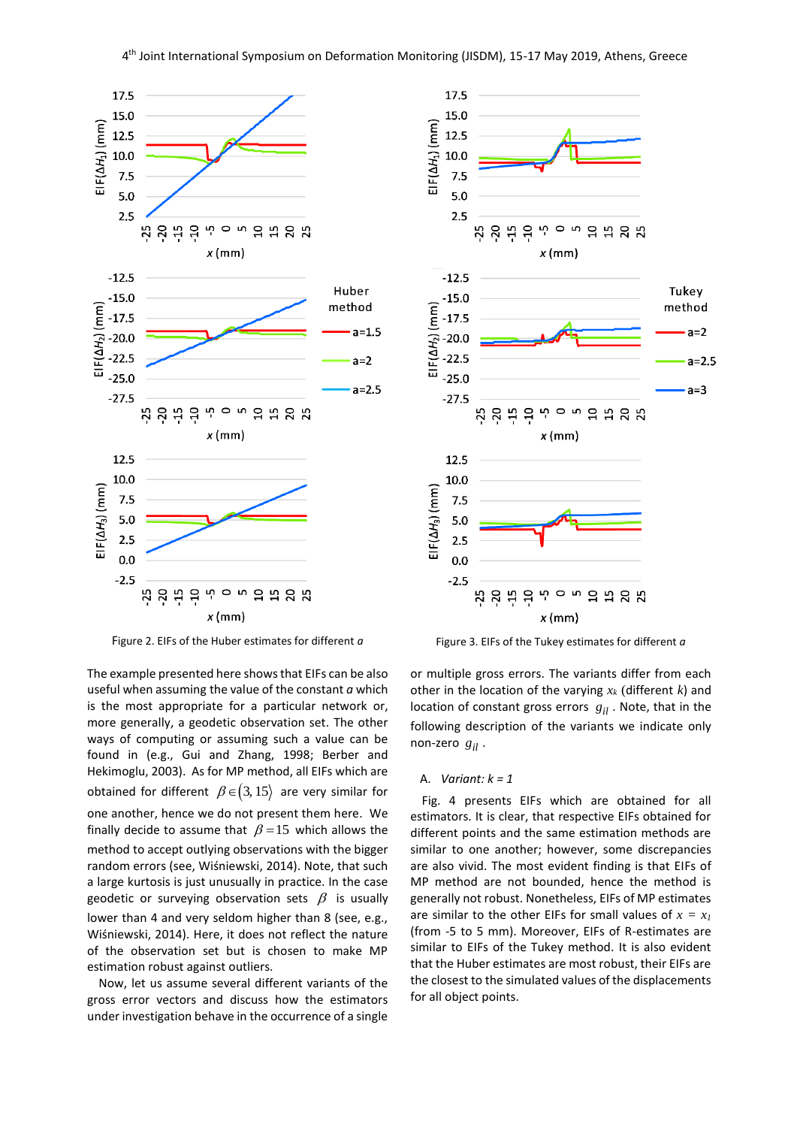

Figure 2. EIFs of the Huber estimates for different *a*

The example presented here shows that EIFs can be also useful when assuming the value of the constant *a* which is the most appropriate for a particular network or, more generally, a geodetic observation set. The other ways of computing or assuming such a value can be found in (e.g., Gui and Zhang, 1998; Berber and Hekimoglu, 2003). As for MP method, all EIFs which are obtained for different  $\,\beta\!\in\!\big(3,15\big)\,$  are very similar for one another, hence we do not present them here. We finally decide to assume that  $\beta = 15$  which allows the method to accept outlying observations with the bigger random errors (see, Wiśniewski, 2014). Note, that such a large kurtosis is just unusually in practice. In the case geodetic or surveying observation sets  $\beta$  is usually lower than 4 and very seldom higher than 8 (see, e.g., Wiśniewski, 2014). Here, it does not reflect the nature of the observation set but is chosen to make MP estimation robust against outliers.

Now, let us assume several different variants of the gross error vectors and discuss how the estimators under investigation behave in the occurrence of a single



Figure 3. EIFs of the Tukey estimates for different *a*

or multiple gross errors. The variants differ from each other in the location of the varying *x<sup>k</sup>* (different *k*) and location of constant gross errors  $g_{il}$ . Note, that in the following description of the variants we indicate only non-zero  $g_{il}$ .

### A. *Variant: k = 1*

Fig. 4 presents EIFs which are obtained for all estimators. It is clear, that respective EIFs obtained for different points and the same estimation methods are similar to one another; however, some discrepancies are also vivid. The most evident finding is that EIFs of MP method are not bounded, hence the method is generally not robust. Nonetheless, EIFs of MP estimates are similar to the other EIFs for small values of  $x = x_I$ (from -5 to 5 mm). Moreover, EIFs of R-estimates are similar to EIFs of the Tukey method. It is also evident that the Huber estimates are most robust, their EIFs are the closest to the simulated values of the displacements for all object points.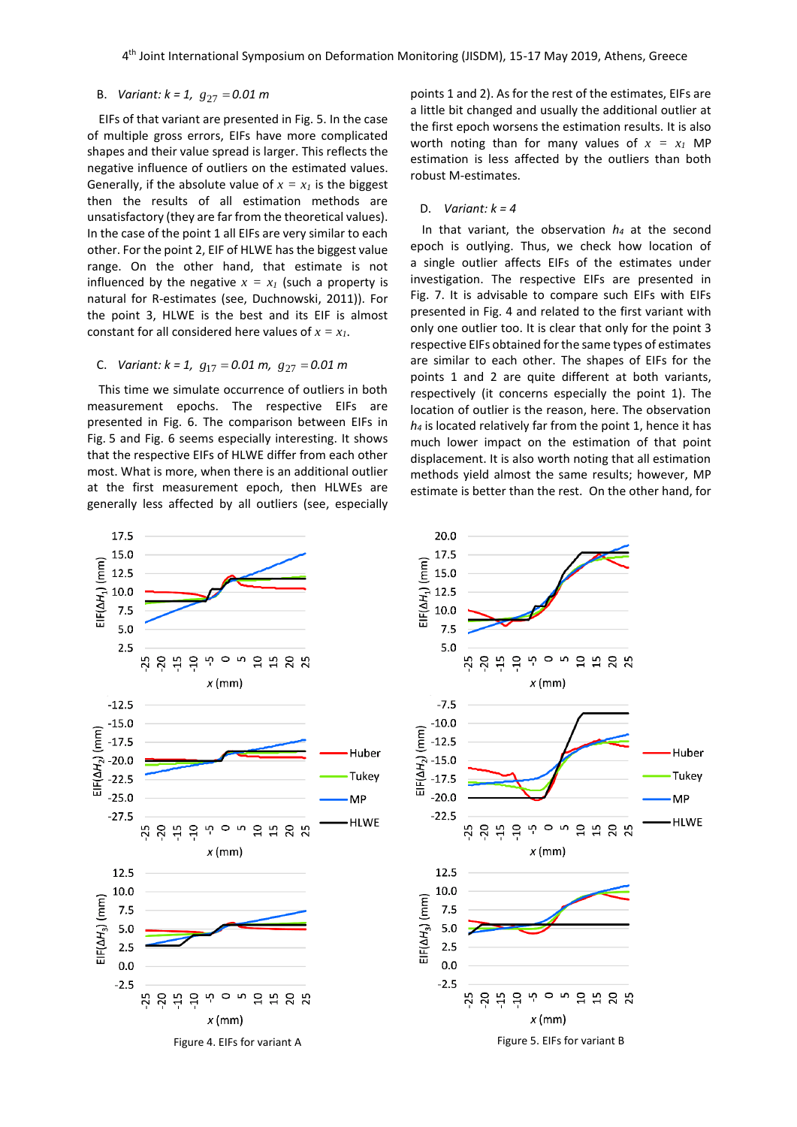## B. *Variant: k = 1,*  27 *g* <sup>=</sup> *0.01 m*

EIFs of that variant are presented in Fig. 5. In the case of multiple gross errors, EIFs have more complicated shapes and their value spread is larger. This reflects the negative influence of outliers on the estimated values. Generally, if the absolute value of  $x = x<sub>l</sub>$  is the biggest then the results of all estimation methods are unsatisfactory (they are far from the theoretical values). In the case of the point 1 all EIFs are very similar to each other. For the point 2, EIF of HLWE has the biggest value range. On the other hand, that estimate is not influenced by the negative  $x = x_I$  (such a property is natural for R-estimates (see, Duchnowski, 2011)). For the point 3, HLWE is the best and its EIF is almost constant for all considered here values of  $x = x_1$ .

## C. Variant: k = 1,  $g_{17}$  = 0.01 m,  $g_{27}$  = 0.01 m

This time we simulate occurrence of outliers in both measurement epochs. The respective EIFs are presented in Fig. 6. The comparison between EIFs in Fig. 5 and Fig. 6 seems especially interesting. It shows that the respective EIFs of HLWE differ from each other most. What is more, when there is an additional outlier at the first measurement epoch, then HLWEs are generally less affected by all outliers (see, especially

points 1 and 2). As for the rest of the estimates, EIFs are a little bit changed and usually the additional outlier at the first epoch worsens the estimation results. It is also worth noting than for many values of  $x = x_1$  MP estimation is less affected by the outliers than both robust M-estimates.

#### D. *Variant: k = 4*

In that variant, the observation *h<sup>4</sup>* at the second epoch is outlying. Thus, we check how location of a single outlier affects EIFs of the estimates under investigation. The respective EIFs are presented in Fig. 7. It is advisable to compare such EIFs with EIFs presented in Fig. 4 and related to the first variant with only one outlier too. It is clear that only for the point 3 respective EIFs obtained for the same types of estimates are similar to each other. The shapes of EIFs for the points 1 and 2 are quite different at both variants, respectively (it concerns especially the point 1). The location of outlier is the reason, here. The observation *h<sup>4</sup>* is located relatively far from the point 1, hence it has much lower impact on the estimation of that point displacement. It is also worth noting that all estimation methods yield almost the same results; however, MP estimate is better than the rest. On the other hand, for



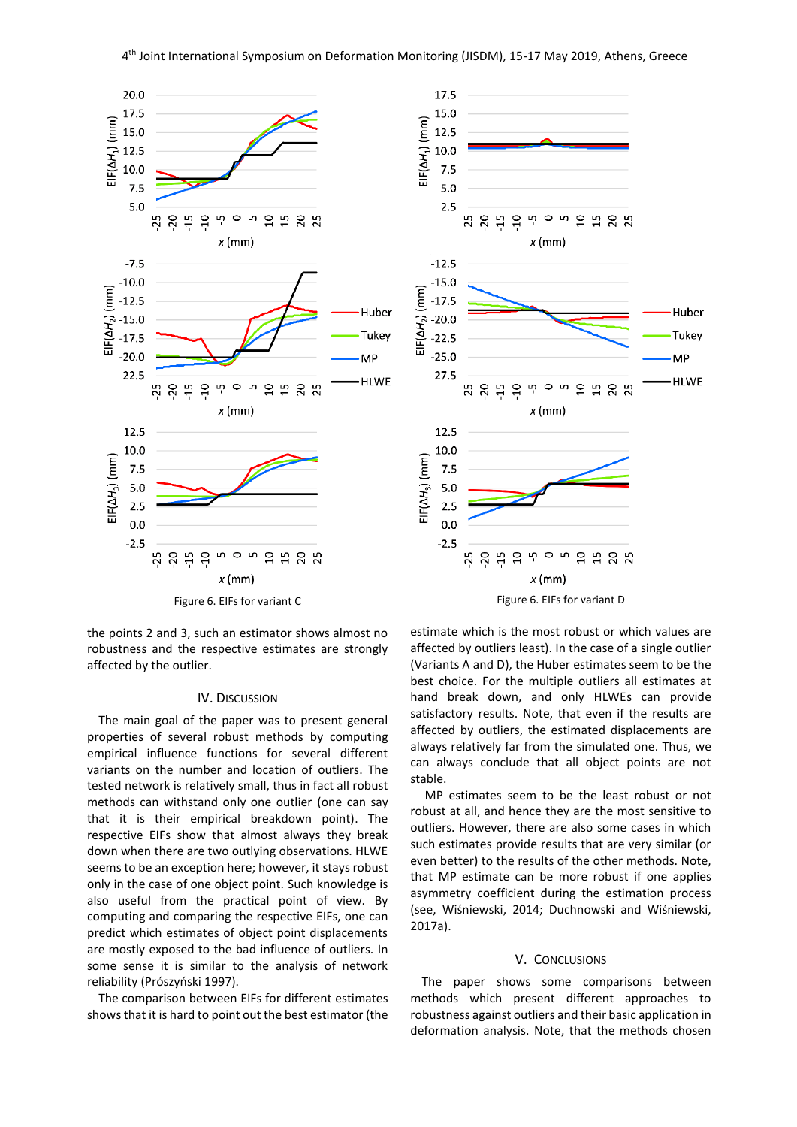

the points 2 and 3, such an estimator shows almost no robustness and the respective estimates are strongly affected by the outlier.

#### IV. DISCUSSION

The main goal of the paper was to present general properties of several robust methods by computing empirical influence functions for several different variants on the number and location of outliers. The tested network is relatively small, thus in fact all robust methods can withstand only one outlier (one can say that it is their empirical breakdown point). The respective EIFs show that almost always they break down when there are two outlying observations. HLWE seems to be an exception here; however, it stays robust only in the case of one object point. Such knowledge is also useful from the practical point of view. By computing and comparing the respective EIFs, one can predict which estimates of object point displacements are mostly exposed to the bad influence of outliers. In some sense it is similar to the analysis of network reliability (Prószyński 1997).

The comparison between EIFs for different estimates shows that it is hard to point out the best estimator (the



estimate which is the most robust or which values are affected by outliers least). In the case of a single outlier (Variants A and D), the Huber estimates seem to be the best choice. For the multiple outliers all estimates at hand break down, and only HLWEs can provide satisfactory results. Note, that even if the results are affected by outliers, the estimated displacements are always relatively far from the simulated one. Thus, we can always conclude that all object points are not stable.

MP estimates seem to be the least robust or not robust at all, and hence they are the most sensitive to outliers. However, there are also some cases in which such estimates provide results that are very similar (or even better) to the results of the other methods. Note, that MP estimate can be more robust if one applies asymmetry coefficient during the estimation process (see, Wiśniewski, 2014; Duchnowski and Wiśniewski, 2017a).

#### V. CONCLUSIONS

The paper shows some comparisons between methods which present different approaches to robustness against outliers and their basic application in deformation analysis. Note, that the methods chosen